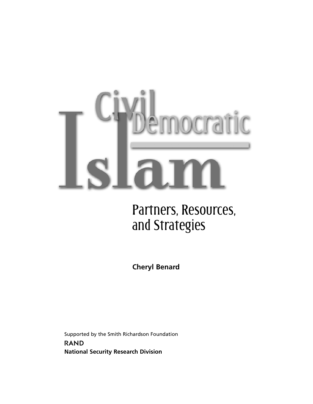## Ê

Partners, Resources, and Strategies

**Cheryl Benard**

Supported by the Smith Richardson Foundation **RAND National Security Research Division**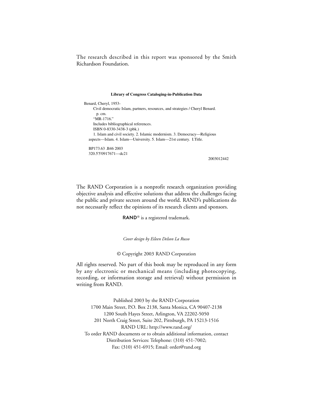The research described in this report was sponsored by the Smith Richardson Foundation.

## **Library of Congress Cataloging-in-Publication Data**

Benard, Cheryl, 1953- Civil democratic Islam, partners, resources, and strategies / Cheryl Benard. p. cm. "MR-1716." Includes bibliographical references. ISBN 0-8330-3438-3 (pbk.) 1. Islam and civil society. 2. Islamic modernism. 3. Democracy—Religious aspects—Islam. 4. Islam—University. 5. Islam—21st century. I.Title. BP173.63 .B46 2003

320.5'5'0917671—dc21

2003012442

The RAND Corporation is a nonprofit research organization providing objective analysis and effective solutions that address the challenges facing the public and private sectors around the world. RAND's publications do not necessarily reflect the opinions of its research clients and sponsors.

 $RAND^®$  is a registered trademark.

*Cover design by Eileen Delson La Russo*

© Copyright 2003 RAND Corporation

All rights reserved. No part of this book may be reproduced in any form by any electronic or mechanical means (including photocopying, recording, or information storage and retrieval) without permission in writing from RAND.

Published 2003 by the RAND Corporation 1700 Main Street, P.O. Box 2138, Santa Monica, CA 90407-2138 1200 South Hayes Street, Arlington, VA 22202-5050 201 North Craig Street, Suite 202, Pittsburgh, PA 15213-1516 RAND URL: http://www.rand.org/ To order RAND documents or to obtain additional information, contact Distribution Services: Telephone: (310) 451-7002; Fax: (310) 451-6915; Email: order@rand.org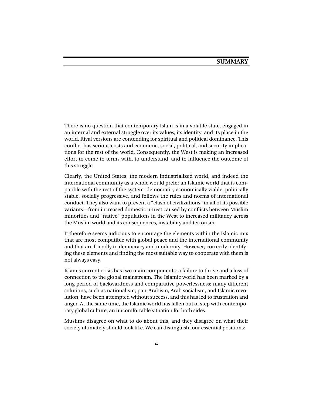There is no question that contemporary Islam is in a volatile state, engaged in an internal and external struggle over its values, its identity, and its place in the world. Rival versions are contending for spiritual and political dominance. This conflict has serious costs and economic, social, political, and security implications for the rest of the world. Consequently, the West is making an increased effort to come to terms with, to understand, and to influence the outcome of this struggle.

Clearly, the United States, the modern industrialized world, and indeed the international community as a whole would prefer an Islamic world that is compatible with the rest of the system: democratic, economically viable, politically stable, socially progressive, and follows the rules and norms of international conduct. They also want to prevent a "clash of civilizations" in all of its possible variants—from increased domestic unrest caused by conflicts between Muslim minorities and "native" populations in the West to increased militancy across the Muslim world and its consequences, instability and terrorism.

It therefore seems judicious to encourage the elements within the Islamic mix that are most compatible with global peace and the international community and that are friendly to democracy and modernity. However, correctly identifying these elements and finding the most suitable way to cooperate with them is not always easy.

Islam's current crisis has two main components: a failure to thrive and a loss of connection to the global mainstream. The Islamic world has been marked by a long period of backwardness and comparative powerlessness; many different solutions, such as nationalism, pan-Arabism, Arab socialism, and Islamic revolution, have been attempted without success, and this has led to frustration and anger. At the same time, the Islamic world has fallen out of step with contemporary global culture, an uncomfortable situation for both sides.

Muslims disagree on what to do about this, and they disagree on what their society ultimately should look like. We can distinguish four essential positions: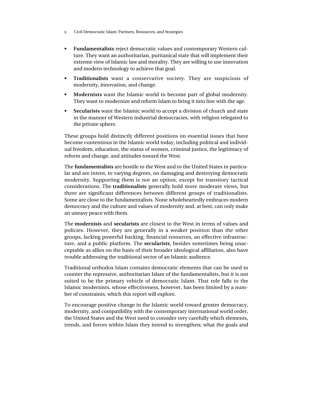- x Civil Democratic Islam: Partners, Resources, and Strategies
- **Fundamentalists** reject democratic values and contemporary Western culture. They want an authoritarian, puritanical state that will implement their extreme view of Islamic law and morality. They are willing to use innovation and modern technology to achieve that goal.
- **Traditionalists** want a conservative society. They are suspicious of modernity, innovation, and change.
- **Modernists** want the Islamic world to become part of global modernity. They want to modernize and reform Islam to bring it into line with the age.
- **Secularists** want the Islamic world to accept a division of church and state in the manner of Western industrial democracies, with religion relegated to the private sphere.

These groups hold distinctly different positions on essential issues that have become contentious in the Islamic world today, including political and individual freedom, education, the status of women, criminal justice, the legitimacy of reform and change, and attitudes toward the West.

The **fundamentalists** are hostile to the West and to the United States in particular and are intent, to varying degrees, on damaging and destroying democratic modernity. Supporting them is not an option, except for transitory tactical considerations. The **traditionalists** generally hold more moderate views, but there are significant differences between different groups of traditionalists. Some are close to the fundamentalists. None wholeheartedly embraces modern democracy and the culture and values of modernity and, at best, can only make an uneasy peace with them.

The **modernists** and **secularists** are closest to the West in terms of values and policies. However, they are generally in a weaker position than the other groups, lacking powerful backing, financial resources, an effective infrastructure, and a public platform. The **secularists**, besides sometimes being unacceptable as allies on the basis of their broader ideological affiliation, also have trouble addressing the traditional sector of an Islamic audience.

Traditional orthodox Islam contains democratic elements that can be used to counter the repressive, authoritarian Islam of the fundamentalists, but it is not suited to be the primary vehicle of democratic Islam. That role falls to the Islamic modernists, whose effectiveness, however, has been limited by a number of constraints, which this report will explore.

To encourage positive change in the Islamic world toward greater democracy, modernity, and compatibility with the contemporary international world order, the United States and the West need to consider very carefully which elements, trends, and forces within Islam they intend to strengthen; what the goals and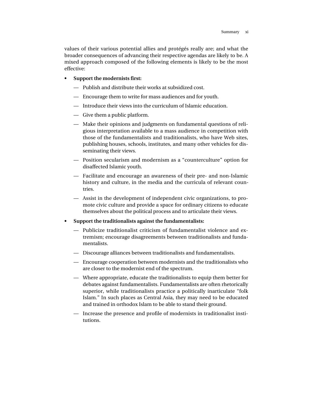values of their various potential allies and protégés really are; and what the broader consequences of advancing their respective agendas are likely to be. A mixed approach composed of the following elements is likely to be the most effective:

- **Support the modernists first:**
	- Publish and distribute their works at subsidized cost.
	- Encourage them to write for mass audiences and for youth.
	- Introduce their views into the curriculum of Islamic education.
	- Give them a public platform.
	- Make their opinions and judgments on fundamental questions of religious interpretation available to a mass audience in competition with those of the fundamentalists and traditionalists, who have Web sites, publishing houses, schools, institutes, and many other vehicles for disseminating their views.
	- Position secularism and modernism as a "counterculture" option for disaffected Islamic youth.
	- Facilitate and encourage an awareness of their pre- and non-Islamic history and culture, in the media and the curricula of relevant countries.
	- Assist in the development of independent civic organizations, to promote civic culture and provide a space for ordinary citizens to educate themselves about the political process and to articulate their views.
- **Support the traditionalists against the fundamentalists:**
	- Publicize traditionalist criticism of fundamentalist violence and extremism; encourage disagreements between traditionalists and fundamentalists.
	- Discourage alliances between traditionalists and fundamentalists.
	- Encourage cooperation between modernists and the traditionalists who are closer to the modernist end of the spectrum.
	- Where appropriate, educate the traditionalists to equip them better for debates against fundamentalists. Fundamentalists are often rhetorically superior, while traditionalists practice a politically inarticulate "folk Islam." In such places as Central Asia, they may need to be educated and trained in orthodox Islam to be able to stand their ground.
	- Increase the presence and profile of modernists in traditionalist institutions.